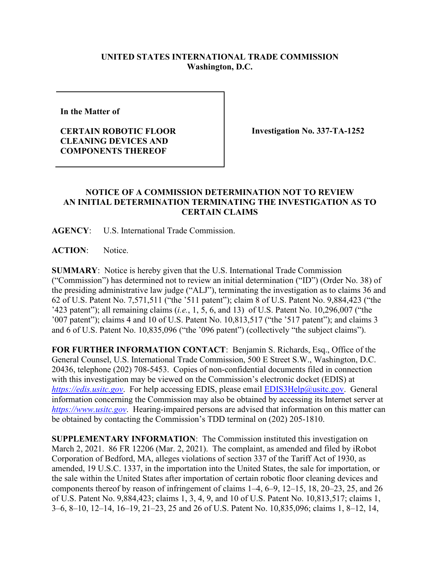## **UNITED STATES INTERNATIONAL TRADE COMMISSION Washington, D.C.**

**In the Matter of** 

## **CERTAIN ROBOTIC FLOOR CLEANING DEVICES AND COMPONENTS THEREOF**

**Investigation No. 337-TA-1252**

## **NOTICE OF A COMMISSION DETERMINATION NOT TO REVIEW AN INITIAL DETERMINATION TERMINATING THE INVESTIGATION AS TO CERTAIN CLAIMS**

**AGENCY**: U.S. International Trade Commission.

**ACTION**: Notice.

**SUMMARY**: Notice is hereby given that the U.S. International Trade Commission ("Commission") has determined not to review an initial determination ("ID") (Order No. 38) of the presiding administrative law judge ("ALJ"), terminating the investigation as to claims 36 and 62 of U.S. Patent No. 7,571,511 ("the '511 patent"); claim 8 of U.S. Patent No. 9,884,423 ("the '423 patent"); all remaining claims (*i.e.*, 1, 5, 6, and 13) of U.S. Patent No. 10,296,007 ("the '007 patent"); claims 4 and 10 of U.S. Patent No. 10,813,517 ("the '517 patent"); and claims 3 and 6 of U.S. Patent No. 10,835,096 ("the '096 patent") (collectively "the subject claims").

**FOR FURTHER INFORMATION CONTACT**: Benjamin S. Richards, Esq., Office of the General Counsel, U.S. International Trade Commission, 500 E Street S.W., Washington, D.C. 20436, telephone (202) 708-5453. Copies of non-confidential documents filed in connection with this investigation may be viewed on the Commission's electronic docket (EDIS) at *[https://edis.usitc.gov](https://edis.usitc.gov/).* For help accessing EDIS, please email [EDIS3Help@usitc.gov.](mailto:EDIS3Help@usitc.gov) General information concerning the Commission may also be obtained by accessing its Internet server at *[https://www.usitc.gov](https://www.usitc.gov/)*. Hearing-impaired persons are advised that information on this matter can be obtained by contacting the Commission's TDD terminal on (202) 205-1810.

**SUPPLEMENTARY INFORMATION**: The Commission instituted this investigation on March 2, 2021. 86 FR 12206 (Mar. 2, 2021). The complaint, as amended and filed by iRobot Corporation of Bedford, MA, alleges violations of section 337 of the Tariff Act of 1930, as amended, 19 U.S.C. 1337, in the importation into the United States, the sale for importation, or the sale within the United States after importation of certain robotic floor cleaning devices and components thereof by reason of infringement of claims 1–4, 6–9, 12–15, 18, 20–23, 25, and 26 of U.S. Patent No. 9,884,423; claims 1, 3, 4, 9, and 10 of U.S. Patent No. 10,813,517; claims 1, 3–6, 8–10, 12–14, 16–19, 21–23, 25 and 26 of U.S. Patent No. 10,835,096; claims 1, 8–12, 14,